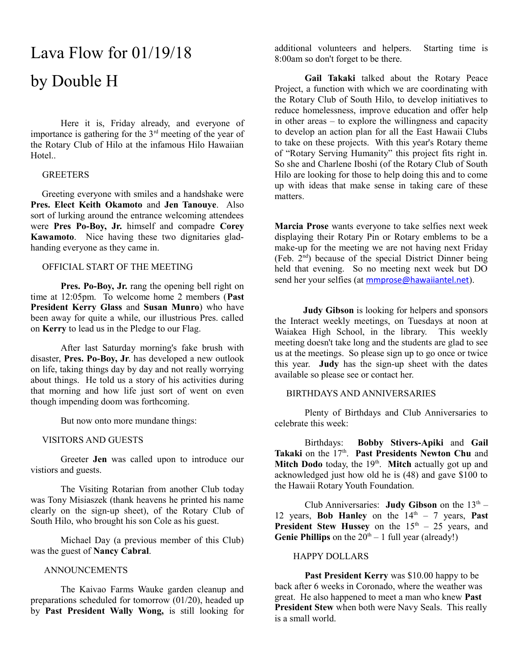# Lava Flow for 01/19/18 by Double H

Here it is, Friday already, and everyone of importance is gathering for the  $3<sup>rd</sup>$  meeting of the year of the Rotary Club of Hilo at the infamous Hilo Hawaiian Hotel..

# **GREETERS**

 Greeting everyone with smiles and a handshake were **Pres. Elect Keith Okamoto** and **Jen Tanouye**. Also sort of lurking around the entrance welcoming attendees were **Pres Po-Boy, Jr.** himself and compadre **Corey Kawamoto**. Nice having these two dignitaries gladhanding everyone as they came in.

# OFFICIAL START OF THE MEETING

**Pres. Po-Boy, Jr.** rang the opening bell right on time at 12:05pm. To welcome home 2 members (**Past President Kerry Glass** and **Susan Munro**) who have been away for quite a while, our illustrious Pres. called on **Kerry** to lead us in the Pledge to our Flag.

After last Saturday morning's fake brush with disaster, **Pres. Po-Boy, Jr**. has developed a new outlook on life, taking things day by day and not really worrying about things. He told us a story of his activities during that morning and how life just sort of went on even though impending doom was forthcoming.

But now onto more mundane things:

# VISITORS AND GUESTS

Greeter **Jen** was called upon to introduce our vistiors and guests.

The Visiting Rotarian from another Club today was Tony Misiaszek (thank heavens he printed his name clearly on the sign-up sheet), of the Rotary Club of South Hilo, who brought his son Cole as his guest.

Michael Day (a previous member of this Club) was the guest of **Nancy Cabral**.

# ANNOUNCEMENTS

The Kaivao Farms Wauke garden cleanup and preparations scheduled for tomorrow (01/20), headed up by **Past President Wally Wong,** is still looking for additional volunteers and helpers. Starting time is 8:00am so don't forget to be there.

**Gail Takaki** talked about the Rotary Peace Project, a function with which we are coordinating with the Rotary Club of South Hilo, to develop initiatives to reduce homelessness, improve education and offer help in other areas – to explore the willingness and capacity to develop an action plan for all the East Hawaii Clubs to take on these projects. With this year's Rotary theme of "Rotary Serving Humanity" this project fits right in. So she and Charlene Iboshi (of the Rotary Club of South Hilo are looking for those to help doing this and to come up with ideas that make sense in taking care of these matters.

**Marcia Prose** wants everyone to take selfies next week displaying their Rotary Pin or Rotary emblems to be a make-up for the meeting we are not having next Friday (Feb. 2nd) because of the special District Dinner being held that evening. So no meeting next week but DO send her your selfies (at [mmprose@hawaiiantel.net](mailto:mmprose@hawaiiantel.net)).

 **Judy Gibson** is looking for helpers and sponsors the Interact weekly meetings, on Tuesdays at noon at Waiakea High School, in the library. This weekly meeting doesn't take long and the students are glad to see us at the meetings. So please sign up to go once or twice this year. **Judy** has the sign-up sheet with the dates available so please see or contact her.

#### BIRTHDAYS AND ANNIVERSARIES

Plenty of Birthdays and Club Anniversaries to celebrate this week:

Birthdays: **Bobby Stivers-Apiki** and **Gail** Takaki on the 17<sup>th</sup>. Past Presidents Newton Chu and Mitch Dodo today, the 19<sup>th</sup>. Mitch actually got up and acknowledged just how old he is (48) and gave \$100 to the Hawaii Rotary Youth Foundation.

Club Anniversaries: **Judy Gibson** on the  $13<sup>th</sup>$  – 12 years, **Bob Hanley** on the  $14<sup>th</sup> - 7$  years, **Past President Stew Hussey** on the  $15<sup>th</sup> - 25$  years, and **Genie Phillips** on the  $20^{th} - 1$  full year (already!)

# HAPPY DOLLARS

**Past President Kerry** was \$10.00 happy to be back after 6 weeks in Coronado, where the weather was great. He also happened to meet a man who knew **Past President Stew** when both were Navy Seals. This really is a small world.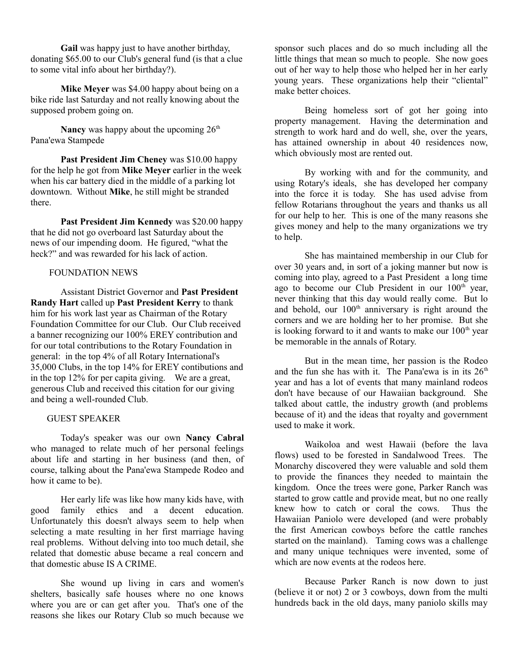**Gail** was happy just to have another birthday, donating \$65.00 to our Club's general fund (is that a clue to some vital info about her birthday?).

**Mike Meyer** was \$4.00 happy about being on a bike ride last Saturday and not really knowing about the supposed probem going on.

**Nancy** was happy about the upcoming  $26<sup>th</sup>$ Pana'ewa Stampede

**Past President Jim Cheney** was \$10.00 happy for the help he got from **Mike Meyer** earlier in the week when his car battery died in the middle of a parking lot downtown. Without **Mike**, he still might be stranded there.

**Past President Jim Kennedy** was \$20.00 happy that he did not go overboard last Saturday about the news of our impending doom. He figured, "what the heck?" and was rewarded for his lack of action.

# FOUNDATION NEWS

Assistant District Governor and **Past President Randy Hart** called up **Past President Kerry** to thank him for his work last year as Chairman of the Rotary Foundation Committee for our Club. Our Club received a banner recognizing our 100% EREY contribution and for our total contributions to the Rotary Foundation in general: in the top 4% of all Rotary International's 35,000 Clubs, in the top 14% for EREY contibutions and in the top 12% for per capita giving. We are a great, generous Club and received this citation for our giving and being a well-rounded Club.

#### GUEST SPEAKER

Today's speaker was our own **Nancy Cabral** who managed to relate much of her personal feelings about life and starting in her business (and then, of course, talking about the Pana'ewa Stampede Rodeo and how it came to be).

Her early life was like how many kids have, with good family ethics and a decent education. Unfortunately this doesn't always seem to help when selecting a mate resulting in her first marriage having real problems. Without delving into too much detail, she related that domestic abuse became a real concern and that domestic abuse IS A CRIME.

She wound up living in cars and women's shelters, basically safe houses where no one knows where you are or can get after you. That's one of the reasons she likes our Rotary Club so much because we

sponsor such places and do so much including all the little things that mean so much to people. She now goes out of her way to help those who helped her in her early young years. These organizations help their "cliental" make better choices.

Being homeless sort of got her going into property management. Having the determination and strength to work hard and do well, she, over the years, has attained ownership in about 40 residences now, which obviously most are rented out.

By working with and for the community, and using Rotary's ideals, she has developed her company into the force it is today. She has used advise from fellow Rotarians throughout the years and thanks us all for our help to her. This is one of the many reasons she gives money and help to the many organizations we try to help.

She has maintained membership in our Club for over 30 years and, in sort of a joking manner but now is coming into play, agreed to a Past President a long time ago to become our Club President in our  $100<sup>th</sup>$  year, never thinking that this day would really come. But lo and behold, our  $100<sup>th</sup>$  anniversary is right around the corners and we are holding her to her promise. But she is looking forward to it and wants to make our  $100<sup>th</sup>$  year be memorable in the annals of Rotary.

But in the mean time, her passion is the Rodeo and the fun she has with it. The Pana'ewa is in its  $26<sup>th</sup>$ year and has a lot of events that many mainland rodeos don't have because of our Hawaiian background. She talked about cattle, the industry growth (and problems because of it) and the ideas that royalty and government used to make it work.

Waikoloa and west Hawaii (before the lava flows) used to be forested in Sandalwood Trees. The Monarchy discovered they were valuable and sold them to provide the finances they needed to maintain the kingdom. Once the trees were gone, Parker Ranch was started to grow cattle and provide meat, but no one really knew how to catch or coral the cows. Thus the Hawaiian Paniolo were developed (and were probably the first American cowboys before the cattle ranches started on the mainland). Taming cows was a challenge and many unique techniques were invented, some of which are now events at the rodeos here.

Because Parker Ranch is now down to just (believe it or not) 2 or 3 cowboys, down from the multi hundreds back in the old days, many paniolo skills may